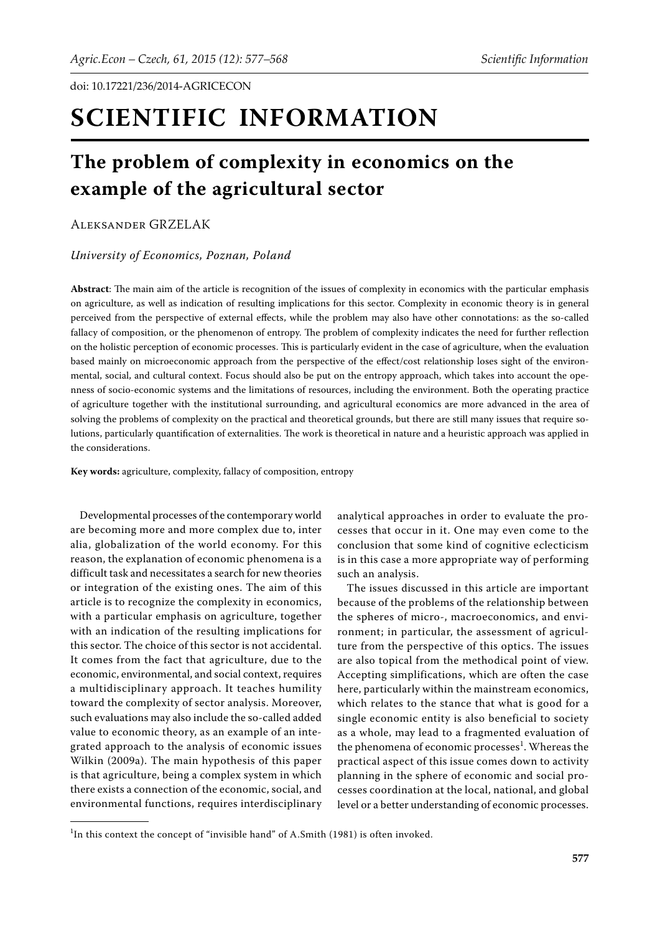# **SCIENTIFIC INFORMATION**

## **The problem of complexity in economics on the example of the agricultural sector**

## Aleksander GRZELAK

#### *University of Economics, Poznan, Poland*

Abstract: The main aim of the article is recognition of the issues of complexity in economics with the particular emphasis on agriculture, as well as indication of resulting implications for this sector. Complexity in economic theory is in general perceived from the perspective of external effects, while the problem may also have other connotations: as the so-called fallacy of composition, or the phenomenon of entropy. The problem of complexity indicates the need for further reflection on the holistic perception of economic processes. This is particularly evident in the case of agriculture, when the evaluation based mainly on microeconomic approach from the perspective of the effect/cost relationship loses sight of the environmental, social, and cultural context. Focus should also be put on the entropy approach, which takes into account the openness of socio-economic systems and the limitations of resources, including the environment. Both the operating practice of agriculture together with the institutional surrounding, and agricultural economics are more advanced in the area of solving the problems of complexity on the practical and theoretical grounds, but there are still many issues that require solutions, particularly quantification of externalities. The work is theoretical in nature and a heuristic approach was applied in the considerations.

**Key words:** agriculture, complexity, fallacy of composition, entropy

Developmental processes of the contemporary world are becoming more and more complex due to, inter alia, globalization of the world economy. For this reason, the explanation of economic phenomena is a difficult task and necessitates a search for new theories or integration of the existing ones. The aim of this article is to recognize the complexity in economics, with a particular emphasis on agriculture, together with an indication of the resulting implications for this sector. The choice of this sector is not accidental. It comes from the fact that agriculture, due to the economic, environmental, and social context, requires a multidisciplinary approach. It teaches humility toward the complexity of sector analysis. Moreover, such evaluations may also include the so-called added value to economic theory, as an example of an integrated approach to the analysis of economic issues Wilkin (2009a). The main hypothesis of this paper is that agriculture, being a complex system in which there exists a connection of the economic, social, and environmental functions, requires interdisciplinary

analytical approaches in order to evaluate the processes that occur in it. One may even come to the conclusion that some kind of cognitive eclecticism is in this case a more appropriate way of performing such an analysis.

The issues discussed in this article are important because of the problems of the relationship between the spheres of micro-, macroeconomics, and environment; in particular, the assessment of agriculture from the perspective of this optics. The issues are also topical from the methodical point of view. Accepting simplifications, which are often the case here, particularly within the mainstream economics, which relates to the stance that what is good for a single economic entity is also beneficial to society as a whole, may lead to a fragmented evaluation of the phenomena of economic processes<sup>1</sup>. Whereas the practical aspect of this issue comes down to activity planning in the sphere of economic and social processes coordination at the local, national, and global level or a better understanding of economic processes.

<sup>&</sup>lt;sup>1</sup>In this context the concept of "invisible hand" of A.Smith (1981) is often invoked.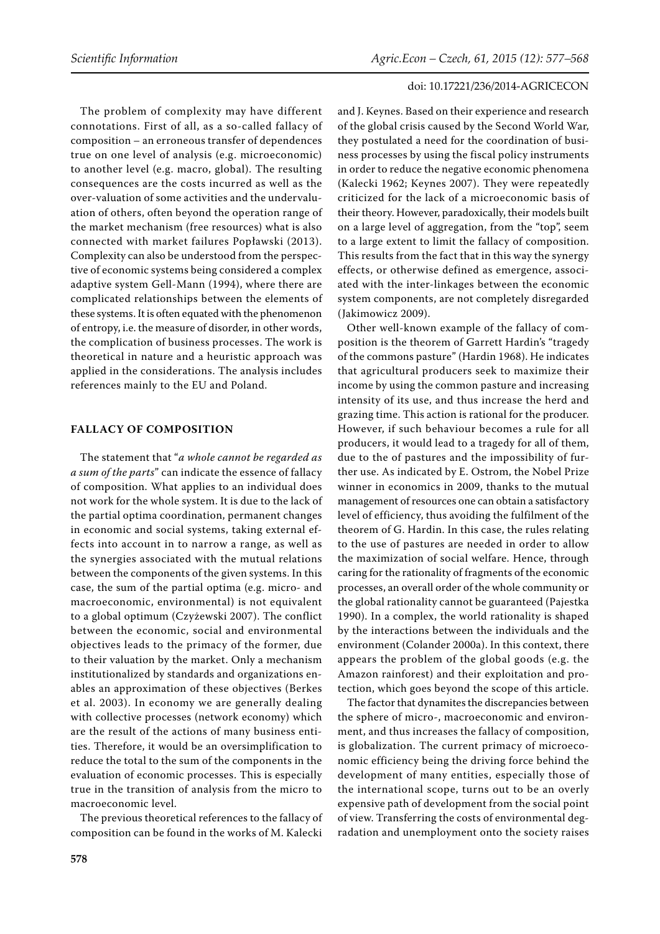The problem of complexity may have different connotations. First of all, as a so-called fallacy of composition – an erroneous transfer of dependences true on one level of analysis (e.g. microeconomic) to another level (e.g. macro, global). The resulting consequences are the costs incurred as well as the over-valuation of some activities and the undervaluation of others, often beyond the operation range of the market mechanism (free resources) what is also connected with market failures Popławski (2013). Complexity can also be understood from the perspective of economic systems being considered a complex adaptive system Gell-Mann (1994), where there are complicated relationships between the elements of these systems. It is often equated with the phenomenon of entropy, i.e. the measure of disorder, in other words, the complication of business processes. The work is theoretical in nature and a heuristic approach was applied in the considerations. The analysis includes references mainly to the EU and Poland.

#### **FALLACY OF COMPOSITION**

The statement that "*a whole cannot be regarded as a sum of the parts*" can indicate the essence of fallacy of composition. What applies to an individual does not work for the whole system. It is due to the lack of the partial optima coordination, permanent changes in economic and social systems, taking external effects into account in to narrow a range, as well as the synergies associated with the mutual relations between the components of the given systems. In this case, the sum of the partial optima (e.g. micro- and macroeconomic, environmental) is not equivalent to a global optimum (Czyżewski 2007). The conflict between the economic, social and environmental objectives leads to the primacy of the former, due to their valuation by the market. Only a mechanism institutionalized by standards and organizations enables an approximation of these objectives (Berkes et al. 2003). In economy we are generally dealing with collective processes (network economy) which are the result of the actions of many business entities. Therefore, it would be an oversimplification to reduce the total to the sum of the components in the evaluation of economic processes. This is especially true in the transition of analysis from the micro to macroeconomic level.

The previous theoretical references to the fallacy of composition can be found in the works of M. Kalecki

and J. Keynes. Based on their experience and research of the global crisis caused by the Second World War, they postulated a need for the coordination of business processes by using the fiscal policy instruments in order to reduce the negative economic phenomena (Kalecki 1962; Keynes 2007). They were repeatedly criticized for the lack of a microeconomic basis of their theory. However, paradoxically, their models built on a large level of aggregation, from the "top", seem to a large extent to limit the fallacy of composition. This results from the fact that in this way the synergy effects, or otherwise defined as emergence, associated with the inter-linkages between the economic system components, are not completely disregarded (Jakimowicz 2009).

Other well-known example of the fallacy of composition is the theorem of Garrett Hardin's "tragedy of the commons pasture" (Hardin 1968). He indicates that agricultural producers seek to maximize their income by using the common pasture and increasing intensity of its use, and thus increase the herd and grazing time. This action is rational for the producer. However, if such behaviour becomes a rule for all producers, it would lead to a tragedy for all of them, due to the of pastures and the impossibility of further use. As indicated by E. Ostrom, the Nobel Prize winner in economics in 2009, thanks to the mutual management of resources one can obtain a satisfactory level of efficiency, thus avoiding the fulfilment of the theorem of G. Hardin. In this case, the rules relating to the use of pastures are needed in order to allow the maximization of social welfare. Hence, through caring for the rationality of fragments of the economic processes, an overall order of the whole community or the global rationality cannot be guaranteed (Pajestka 1990). In a complex, the world rationality is shaped by the interactions between the individuals and the environment (Colander 2000a). In this context, there appears the problem of the global goods (e.g. the Amazon rainforest) and their exploitation and protection, which goes beyond the scope of this article.

The factor that dynamites the discrepancies between the sphere of micro-, macroeconomic and environment, and thus increases the fallacy of composition, is globalization. The current primacy of microeconomic efficiency being the driving force behind the development of many entities, especially those of the international scope, turns out to be an overly expensive path of development from the social point of view. Transferring the costs of environmental degradation and unemployment onto the society raises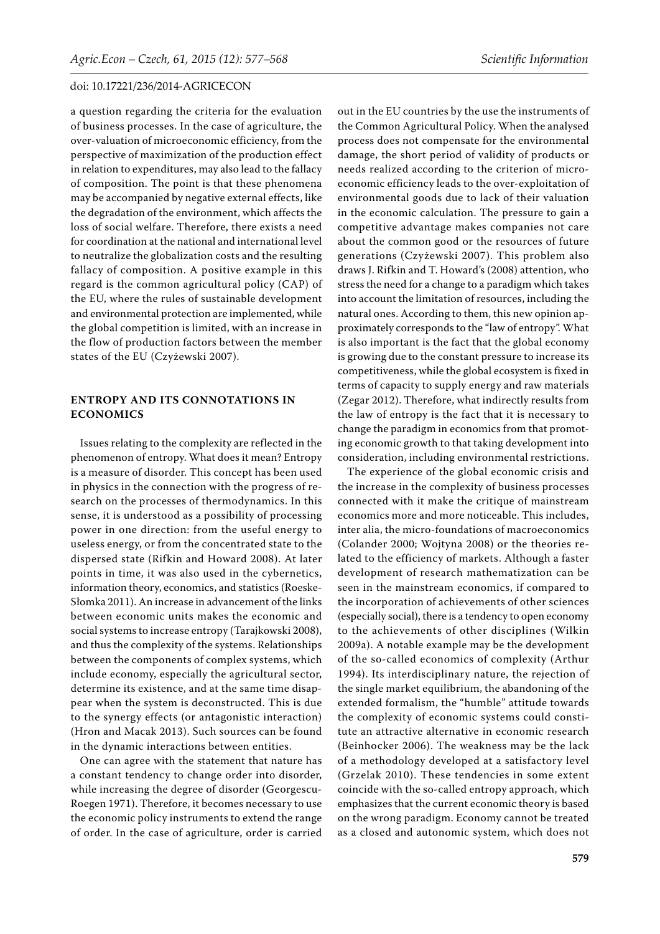a question regarding the criteria for the evaluation of business processes. In the case of agriculture, the over-valuation of microeconomic efficiency, from the perspective of maximization of the production effect in relation to expenditures, may also lead to the fallacy of composition. The point is that these phenomena may be accompanied by negative external effects, like the degradation of the environment, which affects the loss of social welfare. Therefore, there exists a need for coordination at the national and international level to neutralize the globalization costs and the resulting fallacy of composition. A positive example in this regard is the common agricultural policy (CAP) of the EU, where the rules of sustainable development and environmental protection are implemented, while the global competition is limited, with an increase in the flow of production factors between the member states of the EU (Czyżewski 2007).

## **ENTROPY AND ITS CONNOTATIONS IN ECONOMICS**

Issues relating to the complexity are reflected in the phenomenon of entropy. What does it mean? Entropy is a measure of disorder. This concept has been used in physics in the connection with the progress of research on the processes of thermodynamics. In this sense, it is understood as a possibility of processing power in one direction: from the useful energy to useless energy, or from the concentrated state to the dispersed state (Rifkin and Howard 2008). At later points in time, it was also used in the cybernetics, information theory, economics, and statistics (Roeske-Słomka 2011). An increase in advancement of the links between economic units makes the economic and social systems to increase entropy (Tarajkowski 2008), and thus the complexity of the systems. Relationships between the components of complex systems, which include economy, especially the agricultural sector, determine its existence, and at the same time disappear when the system is deconstructed. This is due to the synergy effects (or antagonistic interaction) (Hron and Macak 2013). Such sources can be found in the dynamic interactions between entities.

One can agree with the statement that nature has a constant tendency to change order into disorder, while increasing the degree of disorder (Georgescu-Roegen 1971). Therefore, it becomes necessary to use the economic policy instruments to extend the range of order. In the case of agriculture, order is carried out in the EU countries by the use the instruments of the Common Agricultural Policy. When the analysed process does not compensate for the environmental damage, the short period of validity of products or needs realized according to the criterion of microeconomic efficiency leads to the over-exploitation of environmental goods due to lack of their valuation in the economic calculation. The pressure to gain a competitive advantage makes companies not care about the common good or the resources of future generations (Czyżewski 2007). This problem also draws J. Rifkin and T. Howard's (2008) attention, who stress the need for a change to a paradigm which takes into account the limitation of resources, including the natural ones. According to them, this new opinion approximately corresponds to the "law of entropy". What is also important is the fact that the global economy is growing due to the constant pressure to increase its competitiveness, while the global ecosystem is fixed in terms of capacity to supply energy and raw materials (Zegar 2012). Therefore, what indirectly results from the law of entropy is the fact that it is necessary to change the paradigm in economics from that promoting economic growth to that taking development into consideration, including environmental restrictions.

The experience of the global economic crisis and the increase in the complexity of business processes connected with it make the critique of mainstream economics more and more noticeable. This includes, inter alia, the micro-foundations of macroeconomics (Colander 2000; Wojtyna 2008) or the theories related to the efficiency of markets. Although a faster development of research mathematization can be seen in the mainstream economics, if compared to the incorporation of achievements of other sciences (especially social), there is a tendency to open economy to the achievements of other disciplines (Wilkin 2009a). A notable example may be the development of the so-called economics of complexity (Arthur 1994). Its interdisciplinary nature, the rejection of the single market equilibrium, the abandoning of the extended formalism, the "humble" attitude towards the complexity of economic systems could constitute an attractive alternative in economic research (Beinhocker 2006). The weakness may be the lack of a methodology developed at a satisfactory level (Grzelak 2010). These tendencies in some extent coincide with the so-called entropy approach, which emphasizes that the current economic theory is based on the wrong paradigm. Economy cannot be treated as a closed and autonomic system, which does not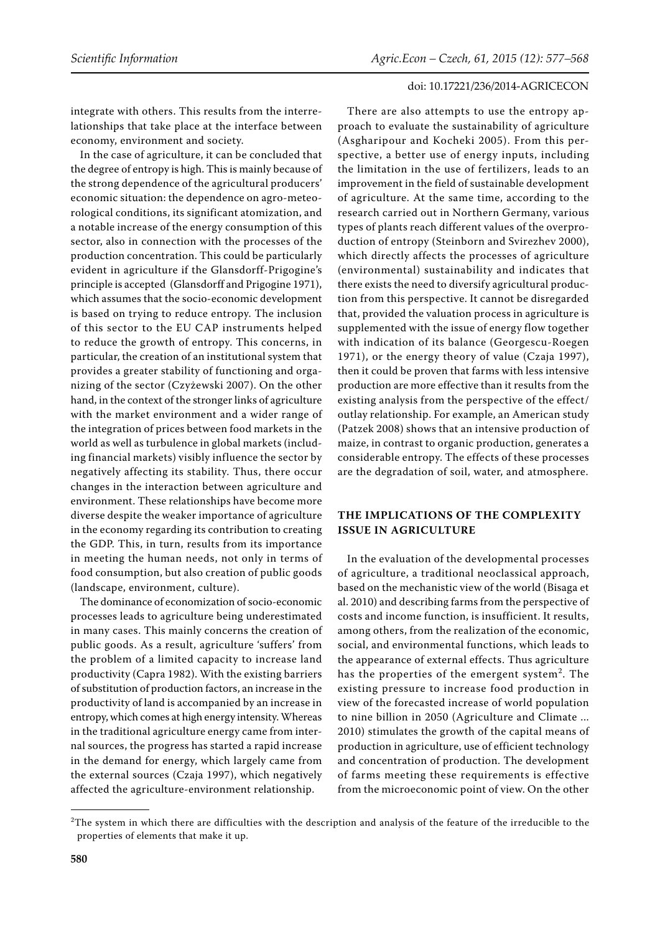integrate with others. This results from the interrelationships that take place at the interface between economy, environment and society.

In the case of agriculture, it can be concluded that the degree of entropy is high. This is mainly because of the strong dependence of the agricultural producers' economic situation: the dependence on agro-meteorological conditions, its significant atomization, and a notable increase of the energy consumption of this sector, also in connection with the processes of the production concentration. This could be particularly evident in agriculture if the Glansdorff-Prigogine's principle is accepted (Glansdorff and Prigogine 1971), which assumes that the socio-economic development is based on trying to reduce entropy. The inclusion of this sector to the EU CAP instruments helped to reduce the growth of entropy. This concerns, in particular, the creation of an institutional system that provides a greater stability of functioning and organizing of the sector (Czyżewski 2007). On the other hand, in the context of the stronger links of agriculture with the market environment and a wider range of the integration of prices between food markets in the world as well as turbulence in global markets (including financial markets) visibly influence the sector by negatively affecting its stability. Thus, there occur changes in the interaction between agriculture and environment. These relationships have become more diverse despite the weaker importance of agriculture in the economy regarding its contribution to creating the GDP. This, in turn, results from its importance in meeting the human needs, not only in terms of food consumption, but also creation of public goods (landscape, environment, culture).

The dominance of economization of socio-economic processes leads to agriculture being underestimated in many cases. This mainly concerns the creation of public goods. As a result, agriculture 'suffers' from the problem of a limited capacity to increase land productivity (Capra 1982). With the existing barriers of substitution of production factors, an increase in the productivity of land is accompanied by an increase in entropy, which comes at high energy intensity. Whereas in the traditional agriculture energy came from internal sources, the progress has started a rapid increase in the demand for energy, which largely came from the external sources (Czaja 1997), which negatively affected the agriculture-environment relationship.

There are also attempts to use the entropy approach to evaluate the sustainability of agriculture (Asgharipour and Kocheki 2005). From this perspective, a better use of energy inputs, including the limitation in the use of fertilizers, leads to an improvement in the field of sustainable development of agriculture. At the same time, according to the research carried out in Northern Germany, various types of plants reach different values of the overproduction of entropy (Steinborn and Svirezhev 2000), which directly affects the processes of agriculture (environmental) sustainability and indicates that there exists the need to diversify agricultural production from this perspective. It cannot be disregarded that, provided the valuation process in agriculture is supplemented with the issue of energy flow together with indication of its balance (Georgescu-Roegen 1971), or the energy theory of value (Czaja 1997), then it could be proven that farms with less intensive production are more effective than it results from the existing analysis from the perspective of the effect/ outlay relationship. For example, an American study (Patzek 2008) shows that an intensive production of maize, in contrast to organic production, generates a considerable entropy. The effects of these processes are the degradation of soil, water, and atmosphere.

## **THE IMPLICATIONS OF THE COMPLEXITY ISSUE IN AGRICULTURE**

In the evaluation of the developmental processes of agriculture, a traditional neoclassical approach, based on the mechanistic view of the world (Bisaga et al. 2010) and describing farms from the perspective of costs and income function, is insufficient. It results, among others, from the realization of the economic, social, and environmental functions, which leads to the appearance of external effects. Thus agriculture has the properties of the emergent system<sup>2</sup>. The existing pressure to increase food production in view of the forecasted increase of world population to nine billion in 2050 (Agriculture and Climate ... 2010) stimulates the growth of the capital means of production in agriculture, use of efficient technology and concentration of production. The development of farms meeting these requirements is effective from the microeconomic point of view. On the other

 $^{2}$ The system in which there are difficulties with the description and analysis of the feature of the irreducible to the properties of elements that make it up.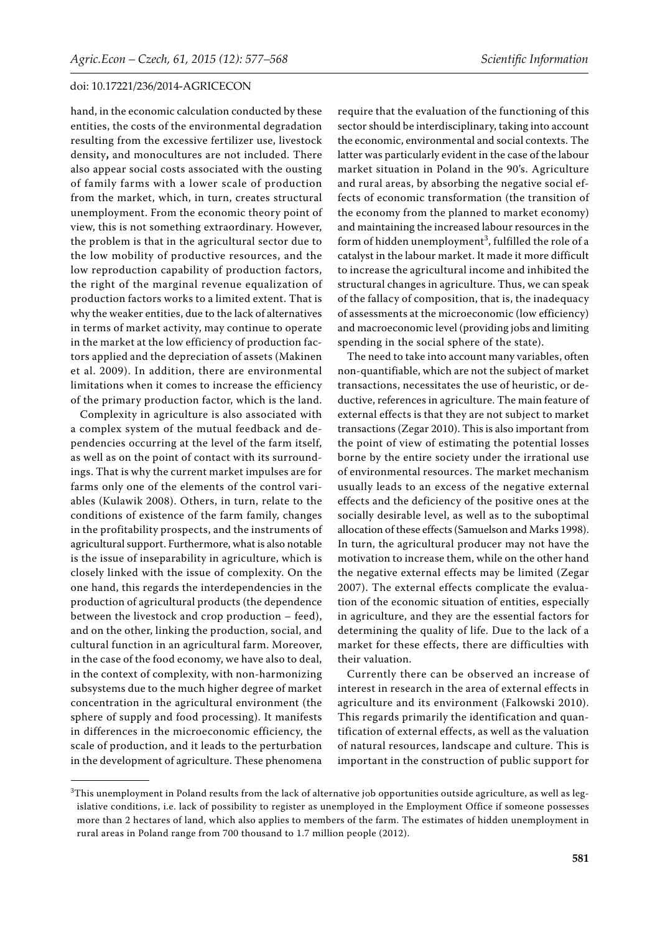hand, in the economic calculation conducted by these entities, the costs of the environmental degradation resulting from the excessive fertilizer use, livestock density**,** and monocultures are not included. There also appear social costs associated with the ousting of family farms with a lower scale of production from the market, which, in turn, creates structural unemployment. From the economic theory point of view, this is not something extraordinary. However, the problem is that in the agricultural sector due to the low mobility of productive resources, and the low reproduction capability of production factors, the right of the marginal revenue equalization of production factors works to a limited extent. That is why the weaker entities, due to the lack of alternatives in terms of market activity, may continue to operate in the market at the low efficiency of production factors applied and the depreciation of assets (Makinen et al. 2009). In addition, there are environmental limitations when it comes to increase the efficiency of the primary production factor, which is the land.

Complexity in agriculture is also associated with a complex system of the mutual feedback and dependencies occurring at the level of the farm itself, as well as on the point of contact with its surroundings. That is why the current market impulses are for farms only one of the elements of the control variables (Kulawik 2008). Others, in turn, relate to the conditions of existence of the farm family, changes in the profitability prospects, and the instruments of agricultural support. Furthermore, what is also notable is the issue of inseparability in agriculture, which is closely linked with the issue of complexity. On the one hand, this regards the interdependencies in the production of agricultural products (the dependence between the livestock and crop production – feed), and on the other, linking the production, social, and cultural function in an agricultural farm. Moreover, in the case of the food economy, we have also to deal, in the context of complexity, with non-harmonizing subsystems due to the much higher degree of market concentration in the agricultural environment (the sphere of supply and food processing). It manifests in differences in the microeconomic efficiency, the scale of production, and it leads to the perturbation in the development of agriculture. These phenomena

require that the evaluation of the functioning of this sector should be interdisciplinary, taking into account the economic, environmental and social contexts. The latter was particularly evident in the case of the labour market situation in Poland in the 90's. Agriculture and rural areas, by absorbing the negative social effects of economic transformation (the transition of the economy from the planned to market economy) and maintaining the increased labour resources in the form of hidden unemployment<sup>3</sup>, fulfilled the role of a catalyst in the labour market. It made it more difficult to increase the agricultural income and inhibited the structural changes in agriculture. Thus, we can speak of the fallacy of composition, that is, the inadequacy of assessments at the microeconomic (low efficiency) and macroeconomic level (providing jobs and limiting spending in the social sphere of the state).

The need to take into account many variables, often non-quantifiable, which are not the subject of market transactions, necessitates the use of heuristic, or deductive, references in agriculture. The main feature of external effects is that they are not subject to market transactions (Zegar 2010). This is also important from the point of view of estimating the potential losses borne by the entire society under the irrational use of environmental resources. The market mechanism usually leads to an excess of the negative external effects and the deficiency of the positive ones at the socially desirable level, as well as to the suboptimal allocation of these effects (Samuelson and Marks 1998). In turn, the agricultural producer may not have the motivation to increase them, while on the other hand the negative external effects may be limited (Zegar 2007). The external effects complicate the evaluation of the economic situation of entities, especially in agriculture, and they are the essential factors for determining the quality of life. Due to the lack of a market for these effects, there are difficulties with their valuation.

Currently there can be observed an increase of interest in research in the area of external effects in agriculture and its environment (Falkowski 2010). This regards primarily the identification and quantification of external effects, as well as the valuation of natural resources, landscape and culture. This is important in the construction of public support for

 $\rm ^3$ This unemployment in Poland results from the lack of alternative job opportunities outside agriculture, as well as legislative conditions, i.e. lack of possibility to register as unemployed in the Employment Office if someone possesses more than 2 hectares of land, which also applies to members of the farm. The estimates of hidden unemployment in rural areas in Poland range from 700 thousand to 1.7 million people (2012).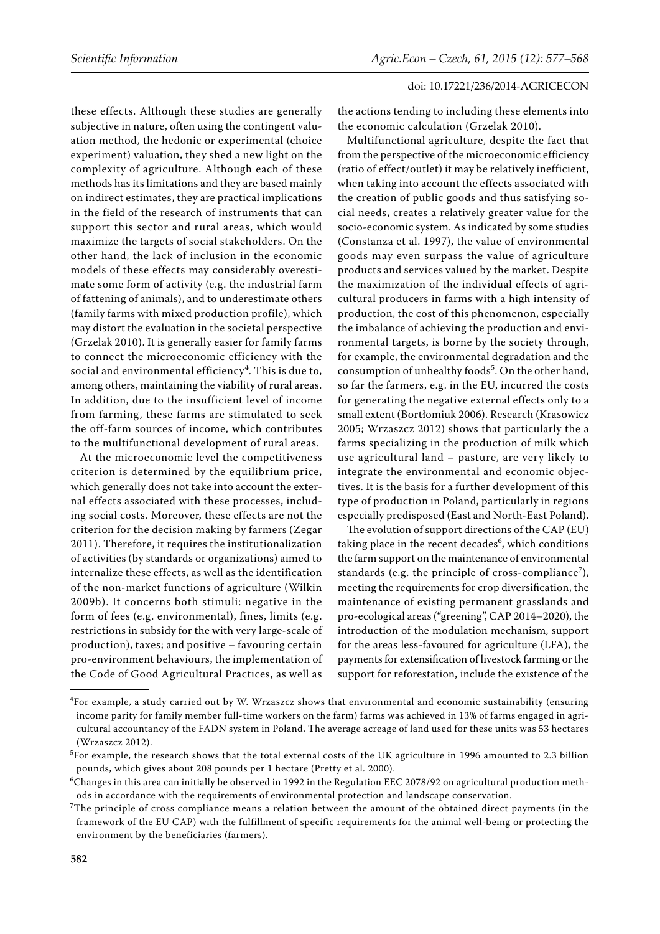these effects. Although these studies are generally subjective in nature, often using the contingent valuation method, the hedonic or experimental (choice experiment) valuation, they shed a new light on the complexity of agriculture. Although each of these methods has its limitations and they are based mainly on indirect estimates, they are practical implications in the field of the research of instruments that can support this sector and rural areas, which would maximize the targets of social stakeholders. On the other hand, the lack of inclusion in the economic models of these effects may considerably overestimate some form of activity (e.g. the industrial farm of fattening of animals), and to underestimate others (family farms with mixed production profile), which may distort the evaluation in the societal perspective (Grzelak 2010). It is generally easier for family farms to connect the microeconomic efficiency with the social and environmental efficiency<sup>4</sup>. This is due to, among others, maintaining the viability of rural areas. In addition, due to the insufficient level of income from farming, these farms are stimulated to seek the off-farm sources of income, which contributes to the multifunctional development of rural areas.

At the microeconomic level the competitiveness criterion is determined by the equilibrium price, which generally does not take into account the external effects associated with these processes, including social costs. Moreover, these effects are not the criterion for the decision making by farmers (Zegar 2011). Therefore, it requires the institutionalization of activities (by standards or organizations) aimed to internalize these effects, as well as the identification of the non-market functions of agriculture (Wilkin 2009b). It concerns both stimuli: negative in the form of fees (e.g. environmental), fines, limits (e.g. restrictions in subsidy for the with very large-scale of production), taxes; and positive – favouring certain pro-environment behaviours, the implementation of the Code of Good Agricultural Practices, as well as

the actions tending to including these elements into the economic calculation (Grzelak 2010).

Multifunctional agriculture, despite the fact that from the perspective of the microeconomic efficiency (ratio of effect/outlet) it may be relatively inefficient, when taking into account the effects associated with the creation of public goods and thus satisfying social needs, creates a relatively greater value for the socio-economic system. As indicated by some studies (Constanza et al. 1997), the value of environmental goods may even surpass the value of agriculture products and services valued by the market. Despite the maximization of the individual effects of agricultural producers in farms with a high intensity of production, the cost of this phenomenon, especially the imbalance of achieving the production and environmental targets, is borne by the society through, for example, the environmental degradation and the consumption of unhealthy foods<sup>5</sup>. On the other hand, so far the farmers, e.g. in the EU, incurred the costs for generating the negative external effects only to a small extent (Bortłomiuk 2006). Research (Krasowicz 2005; Wrzaszcz 2012) shows that particularly the a farms specializing in the production of milk which use agricultural land – pasture, are very likely to integrate the environmental and economic objectives. It is the basis for a further development of this type of production in Poland, particularly in regions especially predisposed (East and North-East Poland).

The evolution of support directions of the CAP (EU) taking place in the recent decades<sup>6</sup>, which conditions the farm support on the maintenance of environmental standards (e.g. the principle of cross-compliance<sup>7</sup>), meeting the requirements for crop diversification, the maintenance of existing permanent grasslands and pro-ecological areas ("greening", CAP 2014–2020), the introduction of the modulation mechanism, support for the areas less-favoured for agriculture (LFA), the payments for extensification of livestock farming or the support for reforestation, include the existence of the

<sup>4</sup> For example, a study carried out by W. Wrzaszcz shows that environmental and economic sustainability (ensuring income parity for family member full-time workers on the farm) farms was achieved in 13% of farms engaged in agricultural accountancy of the FADN system in Poland. The average acreage of land used for these units was 53 hectares (Wrzaszcz 2012).

 $^5$ For example, the research shows that the total external costs of the UK agriculture in 1996 amounted to 2.3 billion pounds, which gives about 208 pounds per 1 hectare (Pretty et al. 2000).

 $^6$ Changes in this area can initially be observed in 1992 in the Regulation EEC 2078/92 on agricultural production methods in accordance with the requirements of environmental protection and landscape conservation.

 $^{7}$ The principle of cross compliance means a relation between the amount of the obtained direct payments (in the framework of the EU CAP) with the fulfillment of specific requirements for the animal well-being or protecting the environment by the beneficiaries (farmers).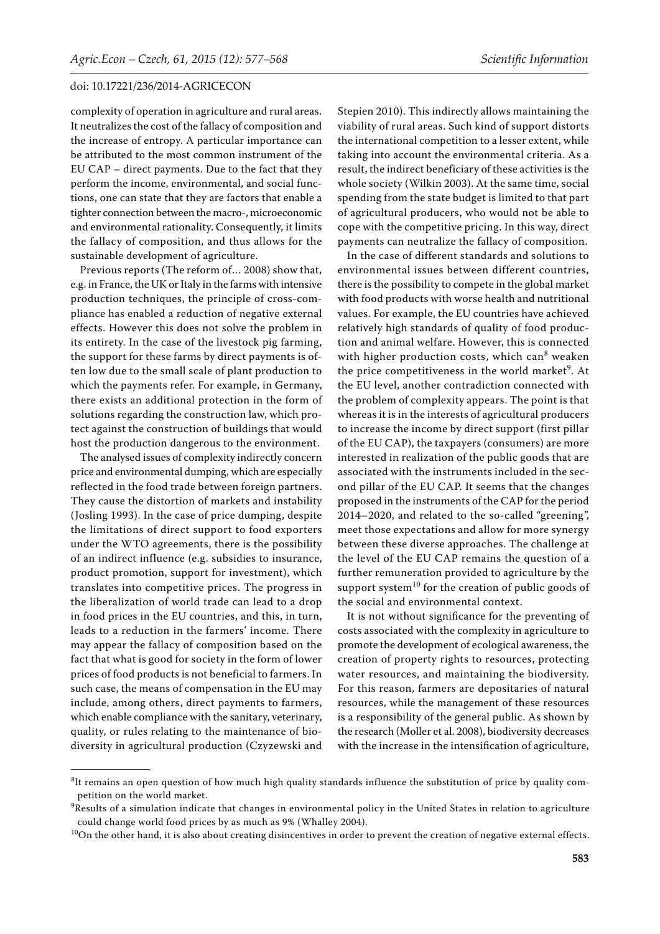complexity of operation in agriculture and rural areas. It neutralizes the cost of the fallacy of composition and the increase of entropy. A particular importance can be attributed to the most common instrument of the EU CAP – direct payments. Due to the fact that they perform the income, environmental, and social functions, one can state that they are factors that enable a tighter connection between the macro-, microeconomic and environmental rationality. Consequently, it limits the fallacy of composition, and thus allows for the sustainable development of agriculture.

Previous reports (The reform of… 2008) show that, e.g. in France, the UK or Italy in the farms with intensive production techniques, the principle of cross-compliance has enabled a reduction of negative external effects. However this does not solve the problem in its entirety. In the case of the livestock pig farming, the support for these farms by direct payments is often low due to the small scale of plant production to which the payments refer. For example, in Germany, there exists an additional protection in the form of solutions regarding the construction law, which protect against the construction of buildings that would host the production dangerous to the environment.

The analysed issues of complexity indirectly concern price and environmental dumping, which are especially reflected in the food trade between foreign partners. They cause the distortion of markets and instability (Josling 1993). In the case of price dumping, despite the limitations of direct support to food exporters under the WTO agreements, there is the possibility of an indirect influence (e.g. subsidies to insurance, product promotion, support for investment), which translates into competitive prices. The progress in the liberalization of world trade can lead to a drop in food prices in the EU countries, and this, in turn, leads to a reduction in the farmers' income. There may appear the fallacy of composition based on the fact that what is good for society in the form of lower prices of food products is not beneficial to farmers. In such case, the means of compensation in the EU may include, among others, direct payments to farmers, which enable compliance with the sanitary, veterinary, quality, or rules relating to the maintenance of biodiversity in agricultural production (Czyzewski and Stepien 2010). This indirectly allows maintaining the viability of rural areas. Such kind of support distorts the international competition to a lesser extent, while taking into account the environmental criteria. As a result, the indirect beneficiary of these activities is the whole society (Wilkin 2003). At the same time, social spending from the state budget is limited to that part of agricultural producers, who would not be able to cope with the competitive pricing. In this way, direct payments can neutralize the fallacy of composition.

In the case of different standards and solutions to environmental issues between different countries, there is the possibility to compete in the global market with food products with worse health and nutritional values. For example, the EU countries have achieved relatively high standards of quality of food production and animal welfare. However, this is connected with higher production costs, which can<sup>8</sup> weaken the price competitiveness in the world market<sup>9</sup>. At the EU level, another contradiction connected with the problem of complexity appears. The point is that whereas it is in the interests of agricultural producers to increase the income by direct support (first pillar of the EU CAP), the taxpayers (consumers) are more interested in realization of the public goods that are associated with the instruments included in the second pillar of the EU CAP. It seems that the changes proposed in the instruments of the CAP for the period 2014–2020, and related to the so-called "greening", meet those expectations and allow for more synergy between these diverse approaches. The challenge at the level of the EU CAP remains the question of a further remuneration provided to agriculture by the support system $^{10}$  for the creation of public goods of the social and environmental context.

It is not without significance for the preventing of costs associated with the complexity in agriculture to promote the development of ecological awareness, the creation of property rights to resources, protecting water resources, and maintaining the biodiversity. For this reason, farmers are depositaries of natural resources, while the management of these resources is a responsibility of the general public. As shown by the research (Moller et al. 2008), biodiversity decreases with the increase in the intensification of agriculture,

<sup>&</sup>lt;sup>8</sup>It remains an open question of how much high quality standards influence the substitution of price by quality competition on the world market.

 $9$ Results of a simulation indicate that changes in environmental policy in the United States in relation to agriculture could change world food prices by as much as 9% (Whalley 2004).

 $10$ On the other hand, it is also about creating disincentives in order to prevent the creation of negative external effects.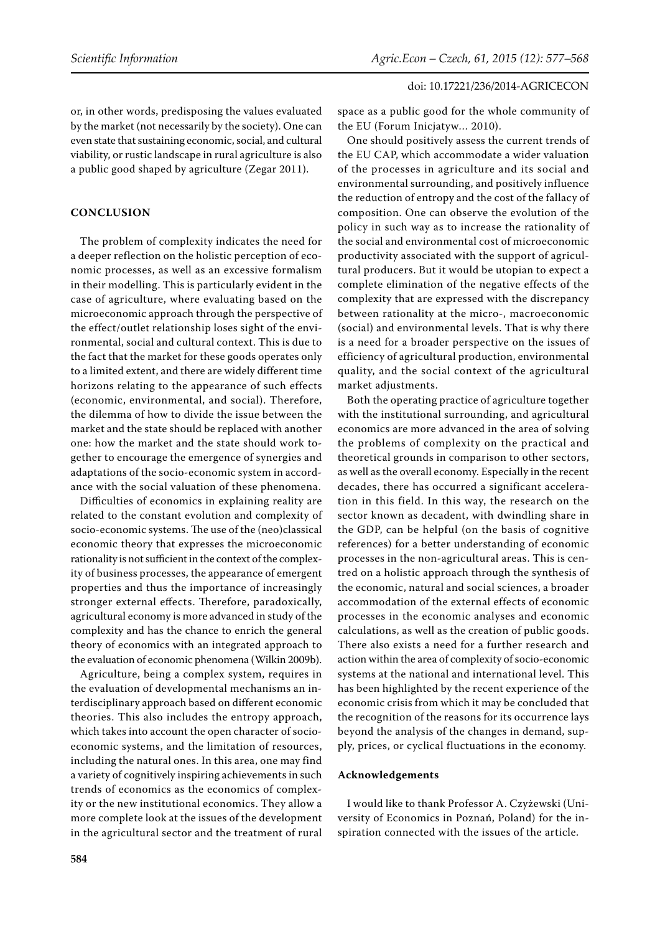or, in other words, predisposing the values evaluated by the market (not necessarily by the society). One can even state that sustaining economic, social, and cultural viability, or rustic landscape in rural agriculture is also a public good shaped by agriculture (Zegar 2011).

## **CONCLUSION**

The problem of complexity indicates the need for a deeper reflection on the holistic perception of economic processes, as well as an excessive formalism in their modelling. This is particularly evident in the case of agriculture, where evaluating based on the microeconomic approach through the perspective of the effect/outlet relationship loses sight of the environmental, social and cultural context. This is due to the fact that the market for these goods operates only to a limited extent, and there are widely different time horizons relating to the appearance of such effects (economic, environmental, and social). Therefore, the dilemma of how to divide the issue between the market and the state should be replaced with another one: how the market and the state should work together to encourage the emergence of synergies and adaptations of the socio-economic system in accordance with the social valuation of these phenomena.

Difficulties of economics in explaining reality are related to the constant evolution and complexity of socio-economic systems. The use of the (neo)classical economic theory that expresses the microeconomic rationality is not sufficient in the context of the complexity of business processes, the appearance of emergent properties and thus the importance of increasingly stronger external effects. Therefore, paradoxically, agricultural economy is more advanced in study of the complexity and has the chance to enrich the general theory of economics with an integrated approach to the evaluation of economic phenomena (Wilkin 2009b).

Agriculture, being a complex system, requires in the evaluation of developmental mechanisms an interdisciplinary approach based on different economic theories. This also includes the entropy approach, which takes into account the open character of socioeconomic systems, and the limitation of resources, including the natural ones. In this area, one may find a variety of cognitively inspiring achievements in such trends of economics as the economics of complexity or the new institutional economics. They allow a more complete look at the issues of the development in the agricultural sector and the treatment of rural

space as a public good for the whole community of the EU (Forum Inicjatyw… 2010).

One should positively assess the current trends of the EU CAP, which accommodate a wider valuation of the processes in agriculture and its social and environmental surrounding, and positively influence the reduction of entropy and the cost of the fallacy of composition. One can observe the evolution of the policy in such way as to increase the rationality of the social and environmental cost of microeconomic productivity associated with the support of agricultural producers. But it would be utopian to expect a complete elimination of the negative effects of the complexity that are expressed with the discrepancy between rationality at the micro-, macroeconomic (social) and environmental levels. That is why there is a need for a broader perspective on the issues of efficiency of agricultural production, environmental quality, and the social context of the agricultural market adjustments.

Both the operating practice of agriculture together with the institutional surrounding, and agricultural economics are more advanced in the area of solving the problems of complexity on the practical and theoretical grounds in comparison to other sectors, as well as the overall economy. Especially in the recent decades, there has occurred a significant acceleration in this field. In this way, the research on the sector known as decadent, with dwindling share in the GDP, can be helpful (on the basis of cognitive references) for a better understanding of economic processes in the non-agricultural areas. This is centred on a holistic approach through the synthesis of the economic, natural and social sciences, a broader accommodation of the external effects of economic processes in the economic analyses and economic calculations, as well as the creation of public goods. There also exists a need for a further research and action within the area of complexity of socio-economic systems at the national and international level. This has been highlighted by the recent experience of the economic crisis from which it may be concluded that the recognition of the reasons for its occurrence lays beyond the analysis of the changes in demand, supply, prices, or cyclical fluctuations in the economy.

#### **Acknowledgements**

I would like to thank Professor A. Czyżewski (University of Economics in Poznań, Poland) for the inspiration connected with the issues of the article.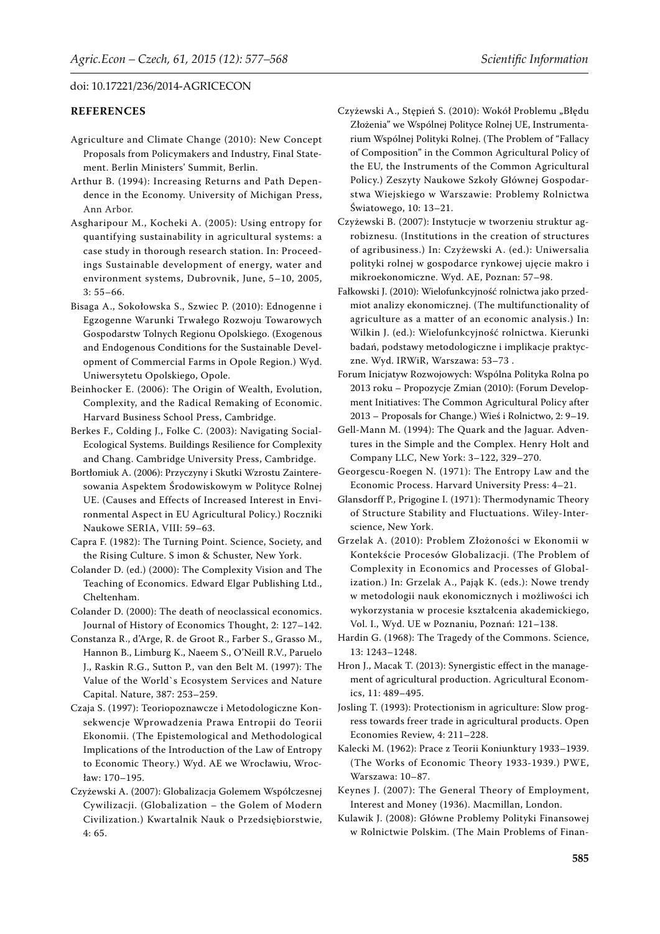#### **REFERENCES**

- Agriculture and Climate Change (2010): New Concept Proposals from Policymakers and Industry, Final Statement. Berlin Ministers' Summit, Berlin.
- Arthur B. (1994): Increasing Returns and Path Dependence in the Economy. University of Michigan Press, Ann Arbor.
- Asgharipour M., Kocheki A. (2005): Using entropy for quantifying sustainability in agricultural systems: a case study in thorough research station. In: Proceedings Sustainable development of energy, water and environment systems, Dubrovnik, June, 5–10, 2005,  $3:55-66$ .
- Bisaga A., Sokołowska S., Szwiec P. (2010): Ednogenne i Egzogenne Warunki Trwałego Rozwoju Towarowych Gospodarstw Tolnych Regionu Opolskiego. (Exogenous and Endogenous Conditions for the Sustainable Development of Commercial Farms in Opole Region.) Wyd. Uniwersytetu Opolskiego, Opole.
- Beinhocker E. (2006): The Origin of Wealth, Evolution, Complexity, and the Radical Remaking of Economic. Harvard Business School Press, Cambridge.
- Berkes F., Colding J., Folke C. (2003): Navigating Social-Ecological Systems. Buildings Resilience for Complexity and Chang. Cambridge University Press, Cambridge.
- Bortłomiuk A. (2006): Przyczyny i Skutki Wzrostu Zainteresowania Aspektem Środowiskowym w Polityce Rolnej UE. (Causes and Effects of Increased Interest in Environmental Aspect in EU Agricultural Policy.) Roczniki Naukowe SERIA, VIII: 59–63.
- Capra F. (1982): The Turning Point. Science, Society, and the Rising Culture. S imon & Schuster, New York.
- Colander D. (ed.) (2000): The Complexity Vision and The Teaching of Economics. Edward Elgar Publishing Ltd., Cheltenham.
- Colander D. (2000): The death of neoclassical economics. Journal of History of Economics Thought, 2: 127–142.
- Constanza R., d'Arge, R. de Groot R., Farber S., Grasso M., Hannon B., Limburg K., Naeem S., O'Neill R.V., Paruelo J., Raskin R.G., Sutton P., van den Belt M. (1997): The Value of the World`s Ecosystem Services and Nature Capital. Nature, 387: 253–259.
- Czaja S. (1997): Teoriopoznawcze i Metodologiczne Konsekwencje Wprowadzenia Prawa Entropii do Teorii Ekonomii. (The Epistemological and Methodological Implications of the Introduction of the Law of Entropy to Economic Theory.) Wyd. AE we Wrocławiu, Wrocław: 170–195.
- Czyżewski A. (2007): Globalizacja Golemem Współczesnej Cywilizacji. (Globalization – the Golem of Modern Civilization.) Kwartalnik Nauk o Przedsiębiorstwie, 4: 65.
- Czyżewski A., Stępień S. (2010): Wokół Problemu "Błędu Złożenia" we Wspólnej Polityce Rolnej UE, Instrumentarium Wspólnej Polityki Rolnej. (The Problem of "Fallacy of Composition" in the Common Agricultural Policy of the EU, the Instruments of the Common Agricultural Policy.) Zeszyty Naukowe Szkoły Głównej Gospodarstwa Wiejskiego w Warszawie: Problemy Rolnictwa Światowego, 10: 13–21.
- Czyżewski B. (2007): Instytucje w tworzeniu struktur agrobiznesu. (Institutions in the creation of structures of agribusiness.) In: Czyżewski A. (ed.): Uniwersalia polityki rolnej w gospodarce rynkowej ujęcie makro i mikroekonomiczne. Wyd. AE, Poznan: 57–98.
- Fałkowski J. (2010): Wielofunkcyjność rolnictwa jako przedmiot analizy ekonomicznej. (The multifunctionality of agriculture as a matter of an economic analysis.) In: Wilkin J. (ed.): Wielofunkcyjność rolnictwa. Kierunki badań, podstawy metodologiczne i implikacje praktyczne. Wyd. IRWiR, Warszawa: 53–73 .
- Forum Inicjatyw Rozwojowych: Wspólna Polityka Rolna po 2013 roku – Propozycje Zmian (2010): (Forum Development Initiatives: The Common Agricultural Policy after 2013 – Proposals for Change.) Wieś i Rolnictwo, 2: 9–19.
- Gell-Mann M. (1994): The Quark and the Jaguar. Adventures in the Simple and the Complex. Henry Holt and Company LLC, New York: 3–122, 329–270.
- Georgescu-Roegen N. (1971): The Entropy Law and the Economic Process. Harvard University Press: 4–21.
- Glansdorff P., Prigogine I. (1971): Thermodynamic Theory of Structure Stability and Fluctuations. Wiley-Interscience, New York.
- Grzelak A. (2010): Problem Złożoności w Ekonomii w Kontekście Procesów Globalizacji. (The Problem of Complexity in Economics and Processes of Globalization.) In: Grzelak A., Pająk K. (eds.): Nowe trendy w metodologii nauk ekonomicznych i możliwości ich wykorzystania w procesie kształcenia akademickiego, Vol. I., Wyd. UE w Poznaniu, Poznań: 121–138.
- Hardin G. (1968): The Tragedy of the Commons. Science, 13: 1243–1248.
- Hron J., Macak T. (2013): Synergistic effect in the management of agricultural production. Agricultural Economics, 11: 489–495.
- Josling T. (1993): Protectionism in agriculture: Slow progress towards freer trade in agricultural products. Open Economies Review, 4: 211–228.
- Kalecki M. (1962): Prace z Teorii Koniunktury 1933–1939. (The Works of Economic Theory 1933-1939.) PWE, Warszawa: 10–87.
- Keynes J. (2007): The General Theory of Employment, Interest and Money (1936). Macmillan, London.
- Kulawik J. (2008): Główne Problemy Polityki Finansowej w Rolnictwie Polskim. (The Main Problems of Finan-